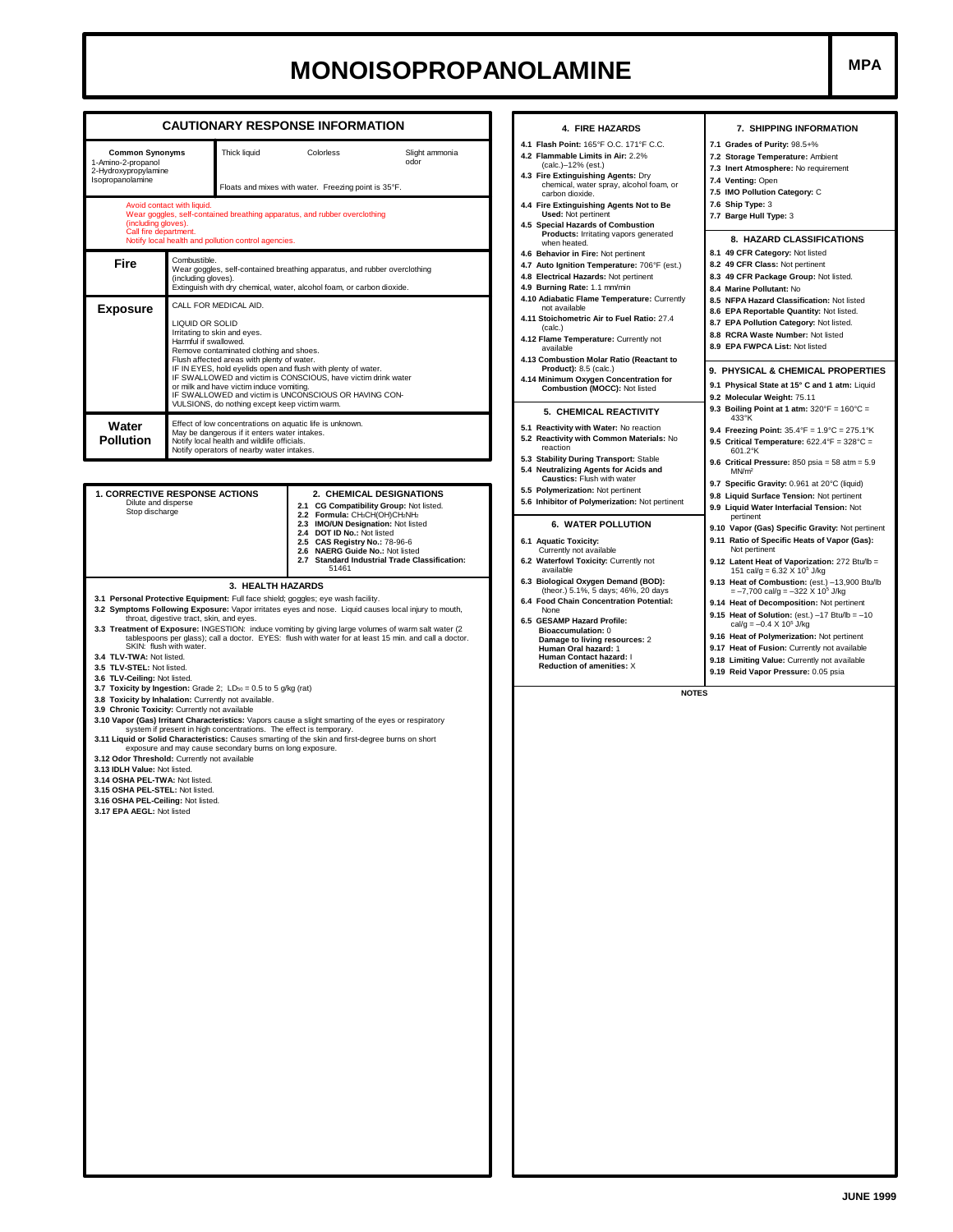## **MONOISOPROPANOLAMINE**

|                                                                                                                                                                                                                                                                                                                                                                                                                                                                                                                                                                                                                                                                                                                                                                                                                                                                                                                                                                                                                                                               |                                                                                                                                                                                                                                                                                                                                                          | <b>CAUTIONARY RESPONSE INFORMATION</b>                                                                                                                                                                    | 4. FIRE HAZARDS                                                                                                                                                                                                                                                                                                                                                                                                                                                                                                                                                       | 7. SHIPPING INFORMATION                                                                                                                                                                                                                                                                                                                                                                                                                                                                                                                                                                                                                                                                                                                                                                                           |  |  |
|---------------------------------------------------------------------------------------------------------------------------------------------------------------------------------------------------------------------------------------------------------------------------------------------------------------------------------------------------------------------------------------------------------------------------------------------------------------------------------------------------------------------------------------------------------------------------------------------------------------------------------------------------------------------------------------------------------------------------------------------------------------------------------------------------------------------------------------------------------------------------------------------------------------------------------------------------------------------------------------------------------------------------------------------------------------|----------------------------------------------------------------------------------------------------------------------------------------------------------------------------------------------------------------------------------------------------------------------------------------------------------------------------------------------------------|-----------------------------------------------------------------------------------------------------------------------------------------------------------------------------------------------------------|-----------------------------------------------------------------------------------------------------------------------------------------------------------------------------------------------------------------------------------------------------------------------------------------------------------------------------------------------------------------------------------------------------------------------------------------------------------------------------------------------------------------------------------------------------------------------|-------------------------------------------------------------------------------------------------------------------------------------------------------------------------------------------------------------------------------------------------------------------------------------------------------------------------------------------------------------------------------------------------------------------------------------------------------------------------------------------------------------------------------------------------------------------------------------------------------------------------------------------------------------------------------------------------------------------------------------------------------------------------------------------------------------------|--|--|
| <b>Common Synonyms</b><br>Thick liquid<br>1-Amino-2-propanol<br>2-Hydroxypropylamine<br>Isopropanolamine<br>Avoid contact with liquid.<br>Wear goggles, self-contained breathing apparatus, and rubber overclothing<br>(including gloves).<br>Call fire department.                                                                                                                                                                                                                                                                                                                                                                                                                                                                                                                                                                                                                                                                                                                                                                                           |                                                                                                                                                                                                                                                                                                                                                          | Slight ammonia<br>Colorless<br>odor<br>Floats and mixes with water. Freezing point is 35°F.                                                                                                               | 4.1 Flash Point: 165°F O.C. 171°F C.C.<br>4.2 Flammable Limits in Air: 2.2%<br>(calc.)-12% (est.)<br>4.3 Fire Extinguishing Agents: Dry<br>chemical, water spray, alcohol foam, or<br>carbon dioxide.<br>4.4 Fire Extinguishing Agents Not to Be<br><b>Used: Not pertinent</b><br><b>Special Hazards of Combustion</b><br>4.5<br>Products: Irritating vapors generated                                                                                                                                                                                                | 7.1 Grades of Purity: 98.5+%<br>7.2 Storage Temperature: Ambient<br>7.3 Inert Atmosphere: No requirement<br>7.4 Venting: Open<br>7.5 IMO Pollution Category: C<br>7.6 Ship Type: 3<br>7.7 Barge Hull Type: 3                                                                                                                                                                                                                                                                                                                                                                                                                                                                                                                                                                                                      |  |  |
| Notify local health and pollution control agencies.<br>Combustible.<br>Fire<br>Wear goggles, self-contained breathing apparatus, and rubber overclothing<br>(including gloves).<br>Extinguish with dry chemical, water, alcohol foam, or carbon dioxide.                                                                                                                                                                                                                                                                                                                                                                                                                                                                                                                                                                                                                                                                                                                                                                                                      |                                                                                                                                                                                                                                                                                                                                                          |                                                                                                                                                                                                           | when heated.<br>4.6 Behavior in Fire: Not pertinent<br>4.7 Auto Ignition Temperature: 706°F (est.)<br>4.8 Electrical Hazards: Not pertinent<br>4.9 Burning Rate: 1.1 mm/min                                                                                                                                                                                                                                                                                                                                                                                           | 8. HAZARD CLASSIFICATIONS<br>8.1 49 CFR Category: Not listed<br>8.2 49 CFR Class: Not pertinent<br>8.3 49 CFR Package Group: Not listed.<br>8.4 Marine Pollutant: No                                                                                                                                                                                                                                                                                                                                                                                                                                                                                                                                                                                                                                              |  |  |
| <b>Exposure</b>                                                                                                                                                                                                                                                                                                                                                                                                                                                                                                                                                                                                                                                                                                                                                                                                                                                                                                                                                                                                                                               | CALL FOR MEDICAL AID.<br>LIQUID OR SOLID<br>Irritating to skin and eyes.<br>Harmful if swallowed.<br>Remove contaminated clothing and shoes.<br>Flush affected areas with plenty of water.<br>IF IN EYES, hold eyelids open and flush with plenty of water.<br>or milk and have victim induce vomiting.<br>VULSIONS, do nothing except keep victim warm. | IF SWALLOWED and victim is CONSCIOUS, have victim drink water<br>IF SWALLOWED and victim is UNCONSCIOUS OR HAVING CON-                                                                                    | 4.10 Adiabatic Flame Temperature: Currently<br>not available<br>4.11 Stoichometric Air to Fuel Ratio: 27.4<br>(calc.)<br>4.12 Flame Temperature: Currently not<br>available<br>4.13 Combustion Molar Ratio (Reactant to<br><b>Product): 8.5 (calc.)</b><br>4.14 Minimum Oxygen Concentration for<br>Combustion (MOCC): Not listed                                                                                                                                                                                                                                     | 8.5 NFPA Hazard Classification: Not listed<br>8.6 EPA Reportable Quantity: Not listed.<br>8.7 EPA Pollution Category: Not listed.<br>8.8 RCRA Waste Number: Not listed<br>8.9 EPA FWPCA List: Not listed<br>9. PHYSICAL & CHEMICAL PROPERTIES<br>9.1 Physical State at 15° C and 1 atm: Liquid<br>9.2 Molecular Weight: 75.11                                                                                                                                                                                                                                                                                                                                                                                                                                                                                     |  |  |
| Water<br><b>Pollution</b>                                                                                                                                                                                                                                                                                                                                                                                                                                                                                                                                                                                                                                                                                                                                                                                                                                                                                                                                                                                                                                     | Effect of low concentrations on aquatic life is unknown.<br>May be dangerous if it enters water intakes.<br>Notify local health and wildlife officials.<br>Notify operators of nearby water intakes.                                                                                                                                                     |                                                                                                                                                                                                           | 5. CHEMICAL REACTIVITY<br>5.1 Reactivity with Water: No reaction<br>5.2 Reactivity with Common Materials: No<br>reaction<br>5.3 Stability During Transport: Stable<br>5.4 Neutralizing Agents for Acids and                                                                                                                                                                                                                                                                                                                                                           | 9.3 Boiling Point at 1 atm: $320^{\circ}F = 160^{\circ}C =$<br>433°K<br>9.4 Freezing Point: $35.4^{\circ}F = 1.9^{\circ}C = 275.1^{\circ}K$<br>9.5 Critical Temperature: $622.4^{\circ}F = 328^{\circ}C =$<br>601.2°K<br>9.6 Critical Pressure: $850$ psia = $58$ atm = $5.9$<br>MNm <sup>2</sup>                                                                                                                                                                                                                                                                                                                                                                                                                                                                                                                 |  |  |
| 1. CORRECTIVE RESPONSE ACTIONS<br>2. CHEMICAL DESIGNATIONS<br>Dilute and disperse<br>2.1 CG Compatibility Group: Not listed.<br>Stop discharge<br>2.2 Formula: CH3CH(OH)CH2NH2<br>2.3 IMO/UN Designation: Not listed<br>2.4 DOT ID No.: Not listed<br>2.5 CAS Registry No.: 78-96-6<br>2.6 NAERG Guide No.: Not listed<br><b>Standard Industrial Trade Classification:</b><br>2.7<br>51461<br>3. HEALTH HAZARDS<br>3.1 Personal Protective Equipment: Full face shield; goggles; eye wash facility.<br>3.2 Symptoms Following Exposure: Vapor irritates eyes and nose. Liquid causes local injury to mouth,<br>throat, digestive tract, skin, and eyes.<br>3.3 Treatment of Exposure: INGESTION: induce vomiting by giving large volumes of warm salt water (2<br>tablespoons per glass); call a doctor. EYES: flush with water for at least 15 min. and call a doctor.<br>SKIN: flush with water.<br>3.4 TLV-TWA: Not listed.<br>3.5 TLV-STEL: Not listed.<br>3.6 TLV-Ceiling: Not listed.<br>3.7 Toxicity by Ingestion: Grade 2; LDso = 0.5 to 5 g/kg (rat) |                                                                                                                                                                                                                                                                                                                                                          |                                                                                                                                                                                                           | Caustics: Flush with water<br>5.5 Polymerization: Not pertinent<br>5.6 Inhibitor of Polymerization: Not pertinent<br><b>6. WATER POLLUTION</b><br>6.1 Aquatic Toxicity:<br>Currently not available<br>6.2 Waterfowl Toxicity: Currently not<br>available<br>6.3 Biological Oxygen Demand (BOD):<br>(theor.) 5.1%, 5 days; 46%, 20 days<br>6.4 Food Chain Concentration Potential:<br>None<br>6.5 GESAMP Hazard Profile:<br><b>Bioaccumulation: 0</b><br>Damage to living resources: 2<br>Human Oral hazard: 1<br>Human Contact hazard: I<br>Reduction of amenities: X | 9.7 Specific Gravity: 0.961 at 20°C (liquid)<br>9.8 Liquid Surface Tension: Not pertinent<br>9.9 Liquid Water Interfacial Tension: Not<br>pertinent<br>9.10 Vapor (Gas) Specific Gravity: Not pertinent<br>9.11 Ratio of Specific Heats of Vapor (Gas):<br>Not pertinent<br>9.12 Latent Heat of Vaporization: 272 Btu/lb =<br>151 cal/g = $6.32 \times 10^5$ J/kg<br>9.13 Heat of Combustion: (est.) -13,900 Btu/lb<br>$=-7,700$ cal/g = $-322$ X 10 <sup>5</sup> J/kg<br>9.14 Heat of Decomposition: Not pertinent<br>9.15 Heat of Solution: (est.) $-17$ Btu/lb = $-10$<br>cal/g = $-0.4 \times 10^5$ J/kg<br>9.16 Heat of Polymerization: Not pertinent<br>9.17 Heat of Fusion: Currently not available<br>9.18 Limiting Value: Currently not available<br>9.19 Reid Vapor Pressure: 0.05 psia<br><b>NOTES</b> |  |  |
| 3.9 Chronic Toxicity: Currently not available<br>3.12 Odor Threshold: Currently not available<br>3.13 IDLH Value: Not listed.<br>3.14 OSHA PEL-TWA: Not listed.<br>3.15 OSHA PEL-STEL: Not listed.<br>3.16 OSHA PEL-Ceiling: Not listed.<br>3.17 EPA AEGL: Not listed                                                                                                                                                                                                                                                                                                                                                                                                                                                                                                                                                                                                                                                                                                                                                                                         | 3.8 Toxicity by Inhalation: Currently not available.<br>system if present in high concentrations. The effect is temporary.<br>exposure and may cause secondary burns on long exposure.                                                                                                                                                                   | 3.10 Vapor (Gas) Irritant Characteristics: Vapors cause a slight smarting of the eyes or respiratory<br>3.11 Liquid or Solid Characteristics: Causes smarting of the skin and first-degree burns on short |                                                                                                                                                                                                                                                                                                                                                                                                                                                                                                                                                                       |                                                                                                                                                                                                                                                                                                                                                                                                                                                                                                                                                                                                                                                                                                                                                                                                                   |  |  |